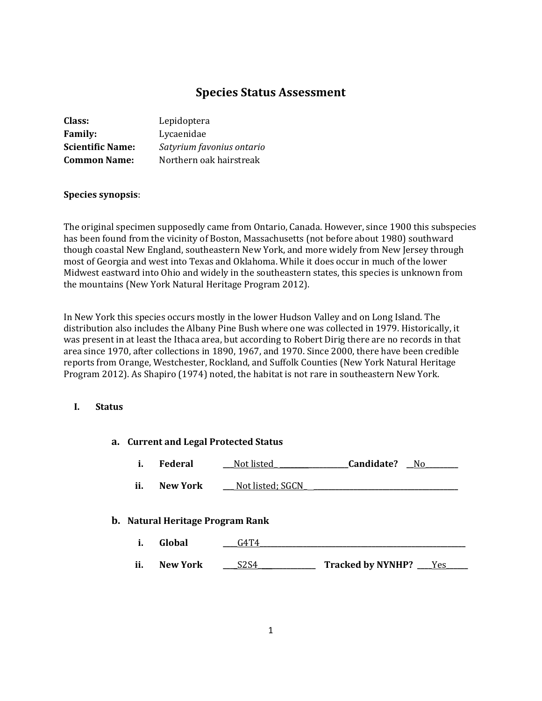# **Species Status Assessment**

| <b>Class:</b>           | Lepidoptera               |
|-------------------------|---------------------------|
| <b>Family:</b>          | Lycaenidae                |
| <b>Scientific Name:</b> | Satyrium favonius ontario |
| <b>Common Name:</b>     | Northern oak hairstreak   |

#### **Species synopsis**:

The original specimen supposedly came from Ontario, Canada. However, since 1900 this subspecies has been found from the vicinity of Boston, Massachusetts (not before about 1980) southward though coastal New England, southeastern New York, and more widely from New Jersey through most of Georgia and west into Texas and Oklahoma. While it does occur in much of the lower Midwest eastward into Ohio and widely in the southeastern states, this species is unknown from the mountains (New York Natural Heritage Program 2012).

In New York this species occurs mostly in the lower Hudson Valley and on Long Island. The distribution also includes the Albany Pine Bush where one was collected in 1979. Historically, it was present in at least the Ithaca area, but according to Robert Dirig there are no records in that area since 1970, after collections in 1890, 1967, and 1970. Since 2000, there have been credible reports from Orange, Westchester, Rockland, and Suffolk Counties (New York Natural Heritage Program 2012). As Shapiro (1974) noted, the habitat is not rare in southeastern New York.

#### **I. Status**

| a. Current and Legal Protected Status |                                  |                               |                                 |  |
|---------------------------------------|----------------------------------|-------------------------------|---------------------------------|--|
| i.                                    | Federal                          | Not listed                    | Candidate?<br>- No              |  |
| ii.                                   | <b>New York</b>                  | Not listed; SGCN              |                                 |  |
|                                       | b. Natural Heritage Program Rank |                               |                                 |  |
| i.                                    | Global                           | G4T4                          |                                 |  |
| ii.                                   | <b>New York</b>                  | S <sub>2</sub> S <sub>4</sub> | Tracked by NYNHP?<br><b>Yes</b> |  |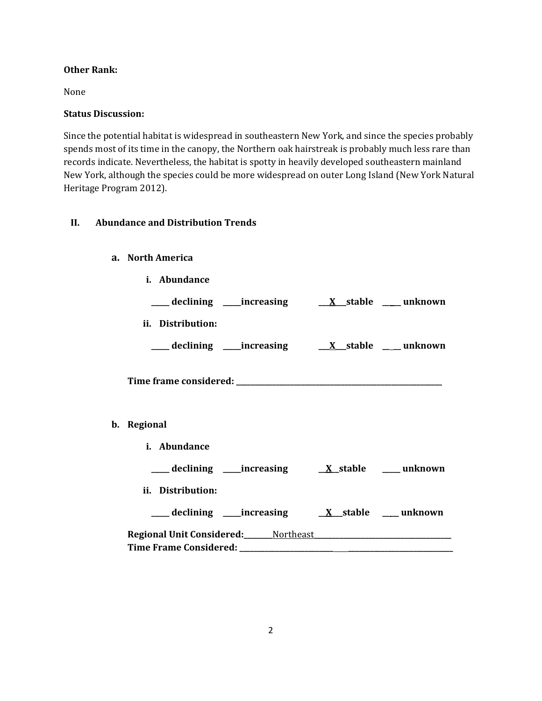### **Other Rank:**

None

#### **Status Discussion:**

Since the potential habitat is widespread in southeastern New York, and since the species probably spends most of its time in the canopy, the Northern oak hairstreak is probably much less rare than records indicate. Nevertheless, the habitat is spotty in heavily developed southeastern mainland New York, although the species could be more widespread on outer Long Island (New York Natural Heritage Program 2012).

# **II. Abundance and Distribution Trends**

#### **a. North America**

| i. Abundance      |                                                                  |  |
|-------------------|------------------------------------------------------------------|--|
|                   | ___ declining ____ increasing ____ __ X__ stable ____ unknown    |  |
| ii. Distribution: |                                                                  |  |
|                   | ___ declining ____increasing ____ <u>X</u> __stable ____ unknown |  |
|                   |                                                                  |  |
| b. Regional       |                                                                  |  |
| i. Abundance      |                                                                  |  |
|                   |                                                                  |  |
| ii. Distribution: |                                                                  |  |
|                   |                                                                  |  |
|                   |                                                                  |  |
|                   |                                                                  |  |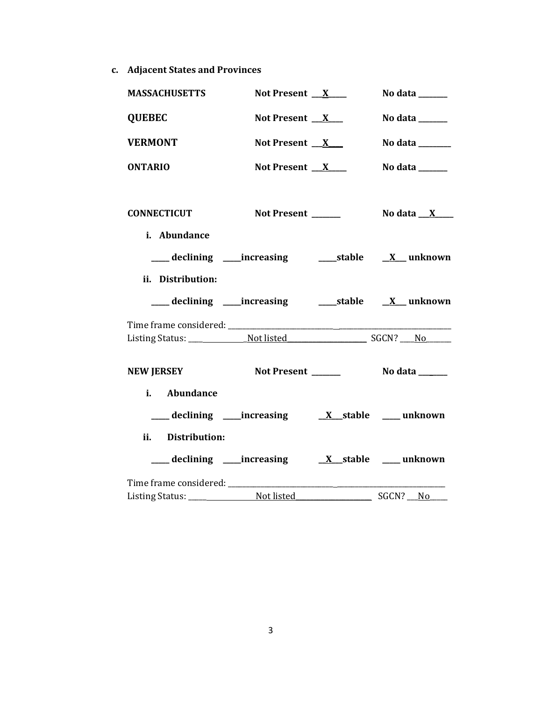**c. Adjacent States and Provinces**

| <b>MASSACHUSETTS</b>                                               | Not Present $X$                                            | No data $\frac{1}{\sqrt{1-\frac{1}{2}}\cdot\frac{1}{\sqrt{1-\frac{1}{2}}}}$ |
|--------------------------------------------------------------------|------------------------------------------------------------|-----------------------------------------------------------------------------|
| <b>QUEBEC</b>                                                      | Not Present $X$                                            | No data $\_\_\_\_\_\_\_\_\_\$                                               |
| <b>VERMONT</b>                                                     | Not Present $X$                                            | No data $\_\_\_\_\_\_\_\_\_\_\_\_\$                                         |
| <b>ONTARIO</b>                                                     | Not Present $X$                                            | No data $\_\_\_\_\_\_\_\_\_\_\_\$                                           |
| <b>CONNECTICUT</b>                                                 | Not Present ______                                         | No data $X$                                                                 |
| i. Abundance                                                       |                                                            |                                                                             |
|                                                                    | ___ declining ____increasing ______stable ___ X___ unknown |                                                                             |
| ii. Distribution:                                                  |                                                            |                                                                             |
| ___ declining ____increasing ______stable ___ <u>X</u> ___ unknown |                                                            |                                                                             |
|                                                                    |                                                            |                                                                             |
|                                                                    |                                                            |                                                                             |
| <b>NEW JERSEY</b>                                                  | Not Present ______                                         | $\sqrt{a}$ No data $\sqrt{a}$                                               |
| i. Abundance                                                       |                                                            |                                                                             |
|                                                                    | ____ declining _____increasing                             | $X$ stable $\qquad$ unknown                                                 |
| ii. Distribution:                                                  |                                                            |                                                                             |
|                                                                    | ____ declining _____increasing                             | $X$ stable ____ unknown                                                     |
|                                                                    |                                                            |                                                                             |
|                                                                    |                                                            | SGCN? No                                                                    |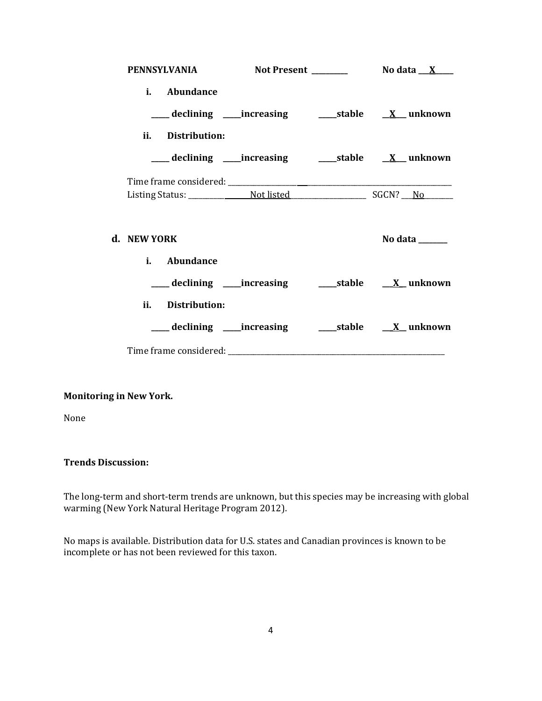|             |                   |  | PENNSYLVANIA Not Present ________ No data X___                  |
|-------------|-------------------|--|-----------------------------------------------------------------|
|             | i. Abundance      |  |                                                                 |
|             | ii. Distribution: |  |                                                                 |
|             |                   |  |                                                                 |
|             |                   |  |                                                                 |
|             |                   |  |                                                                 |
| d. NEW YORK |                   |  | No data $\_\_\_\_\_\_\_\_\_\_\$                                 |
|             | i. Abundance      |  |                                                                 |
|             |                   |  | ___declining ___increasing    ____stable    _ <u>X</u> _unknown |
|             | ii. Distribution: |  |                                                                 |
|             |                   |  | ___ declining ____increasing _______stable _____X__unknown      |
|             |                   |  |                                                                 |

# **Monitoring in New York.**

None

### **Trends Discussion:**

The long-term and short-term trends are unknown, but this species may be increasing with global warming (New York Natural Heritage Program 2012).

No maps is available. Distribution data for U.S. states and Canadian provinces is known to be incomplete or has not been reviewed for this taxon.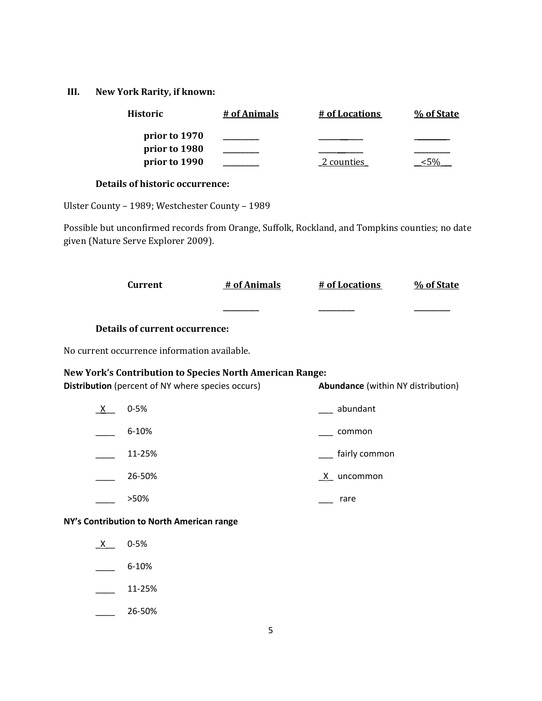### **III. New York Rarity, if known:**

| <b>Historic</b>                | # of Animals | # of Locations | % of State |
|--------------------------------|--------------|----------------|------------|
| prior to 1970<br>prior to 1980 |              |                |            |
| prior to 1990                  |              | 2 counties     |            |
|                                |              |                |            |

### **Details of historic occurrence:**

Ulster County – 1989; Westchester County – 1989

Possible but unconfirmed records from Orange, Suffolk, Rockland, and Tompkins counties; no date given (Nature Serve Explorer 2009).

|     | <b>Current</b>                                                                                                       | # of Animals | # of Locations                            | % of State |
|-----|----------------------------------------------------------------------------------------------------------------------|--------------|-------------------------------------------|------------|
|     |                                                                                                                      |              |                                           |            |
|     | <b>Details of current occurrence:</b>                                                                                |              |                                           |            |
|     | No current occurrence information available.                                                                         |              |                                           |            |
|     | <b>New York's Contribution to Species North American Range:</b><br>Distribution (percent of NY where species occurs) |              | <b>Abundance</b> (within NY distribution) |            |
| X — | $0 - 5%$                                                                                                             |              | abundant                                  |            |
|     | 6-10%                                                                                                                |              | common                                    |            |
|     | 11-25%                                                                                                               |              | fairly common                             |            |
|     | 26-50%                                                                                                               |              | $X$ uncommon                              |            |
|     | >50%                                                                                                                 |              | rare                                      |            |
|     | NY's Contribution to North American range                                                                            |              |                                           |            |
| X — | $0 - 5%$                                                                                                             |              |                                           |            |
|     | 6-10%                                                                                                                |              |                                           |            |
|     | 11-25%                                                                                                               |              |                                           |            |

 $\frac{26-50\%}{26}$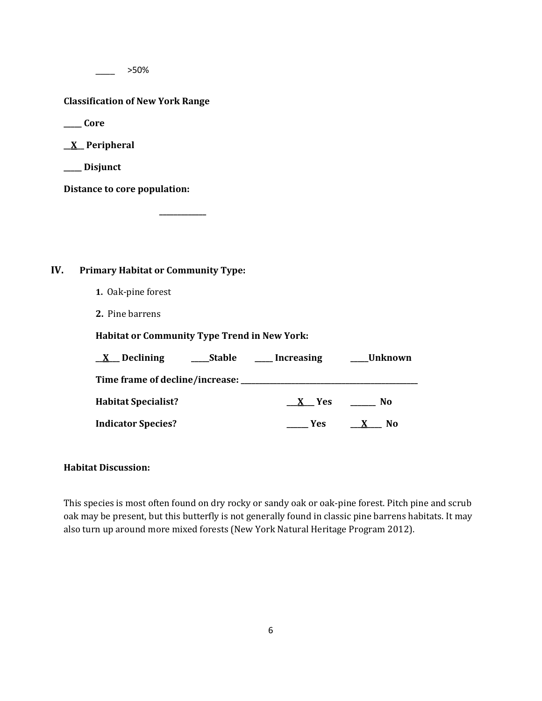\_\_\_\_ >50%

#### **Classification of New York Range**

**\_\_\_\_\_ Core**

**\_\_X\_\_ Peripheral**

**\_\_\_\_\_ Disjunct**

**Distance to core population:**

### **IV. Primary Habitat or Community Type:**

- **1.** Oak-pine forest
- **2.** Pine barrens

**Habitat or Community Type Trend in New York:**

**\_\_\_\_\_\_\_\_\_\_\_\_\_**

| <b>Stable</b><br>Declining<br>$\mathbf{X}$ | Increasing | Unknown             |
|--------------------------------------------|------------|---------------------|
| Time frame of decline/increase: _          |            |                     |
| <b>Habitat Specialist?</b>                 | X Yes      | No.                 |
| <b>Indicator Species?</b>                  | <b>Yes</b> | N <sub>0</sub><br>X |

### **Habitat Discussion:**

This species is most often found on dry rocky or sandy oak or oak-pine forest. Pitch pine and scrub oak may be present, but this butterfly is not generally found in classic pine barrens habitats. It may also turn up around more mixed forests (New York Natural Heritage Program 2012).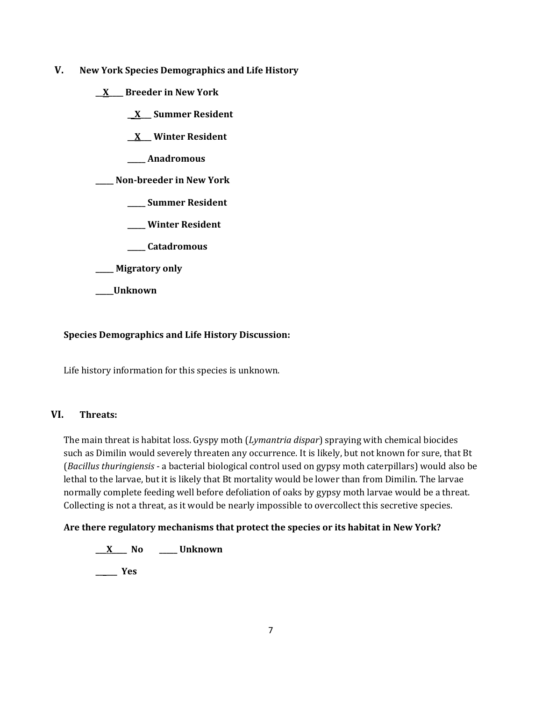- **V. New York Species Demographics and Life History**
	- **\_\_X\_\_\_\_ Breeder in New York**
		- **\_\_X\_\_\_ Summer Resident**

**\_\_X\_\_\_ Winter Resident**

**\_\_\_\_\_ Anadromous**

**\_\_\_\_\_ Non-breeder in New York**

- **\_\_\_\_\_ Summer Resident**
- **\_\_\_\_\_ Winter Resident**
- **\_\_\_\_\_ Catadromous**
- **\_\_\_\_\_ Migratory only**
- **\_\_\_\_\_Unknown**

### **Species Demographics and Life History Discussion:**

Life history information for this species is unknown.

# **VI. Threats:**

The main threat is habitat loss. Gyspy moth (*Lymantria dispar*) spraying with chemical biocides such as Dimilin would severely threaten any occurrence. It is likely, but not known for sure, that Bt (*Bacillus thuringiensis* - a bacterial biological control used on gypsy moth caterpillars) would also be lethal to the larvae, but it is likely that Bt mortality would be lower than from Dimilin. The larvae normally complete feeding well before defoliation of oaks by gypsy moth larvae would be a threat. Collecting is not a threat, as it would be nearly impossible to overcollect this secretive species.

#### **Are there regulatory mechanisms that protect the species or its habitat in New York?**

**\_\_\_X\_\_\_\_ No \_\_\_\_\_ Unknown**

**\_\_\_\_\_\_ Yes**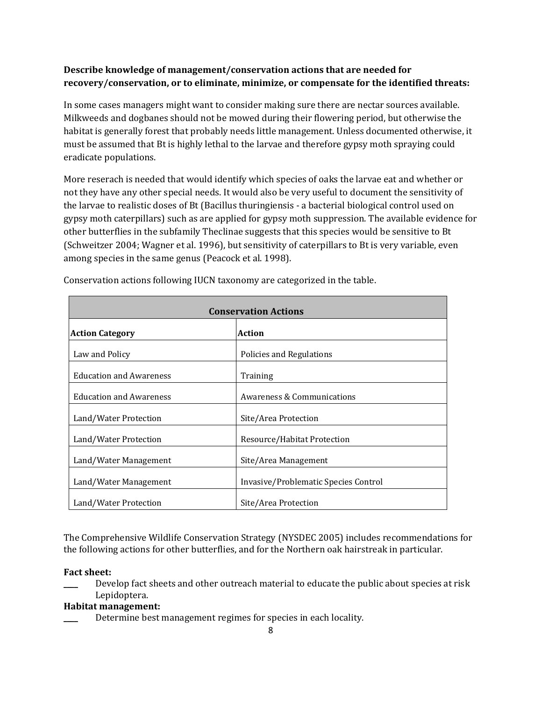# **Describe knowledge of management/conservation actions that are needed for recovery/conservation, or to eliminate, minimize, or compensate for the identified threats:**

In some cases managers might want to consider making sure there are nectar sources available. Milkweeds and dogbanes should not be mowed during their flowering period, but otherwise the habitat is generally forest that probably needs little management. Unless documented otherwise, it must be assumed that Bt is highly lethal to the larvae and therefore gypsy moth spraying could eradicate populations.

More reserach is needed that would identify which species of oaks the larvae eat and whether or not they have any other special needs. It would also be very useful to document the sensitivity of the larvae to realistic doses of Bt (Bacillus thuringiensis - a bacterial biological control used on gypsy moth caterpillars) such as are applied for gypsy moth suppression. The available evidence for other butterflies in the subfamily Theclinae suggests that this species would be sensitive to Bt (Schweitzer 2004; Wagner et al. 1996), but sensitivity of caterpillars to Bt is very variable, even among species in the same genus (Peacock et al. 1998).

| <b>Conservation Actions</b>    |                                      |  |
|--------------------------------|--------------------------------------|--|
| <b>Action Category</b>         | <b>Action</b>                        |  |
| Law and Policy                 | Policies and Regulations             |  |
| <b>Education and Awareness</b> | Training                             |  |
| <b>Education and Awareness</b> | Awareness & Communications           |  |
| Land/Water Protection          | Site/Area Protection                 |  |
| Land/Water Protection          | Resource/Habitat Protection          |  |
| Land/Water Management          | Site/Area Management                 |  |
| Land/Water Management          | Invasive/Problematic Species Control |  |
| Land/Water Protection          | Site/Area Protection                 |  |

Conservation actions following IUCN taxonomy are categorized in the table.

The Comprehensive Wildlife Conservation Strategy (NYSDEC 2005) includes recommendations for the following actions for other butterflies, and for the Northern oak hairstreak in particular.

# **Fact sheet:**

Develop fact sheets and other outreach material to educate the public about species at risk Lepidoptera.

# **Habitat management:**

Determine best management regimes for species in each locality.